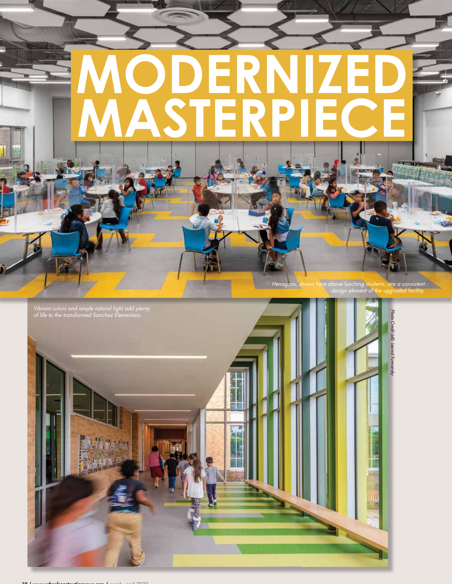

*Hexagons, shown here above lunching students, are a consistent design element of the upgraded facility.* 

w



10 / www.schoolconstructionnews.com / march - april 2022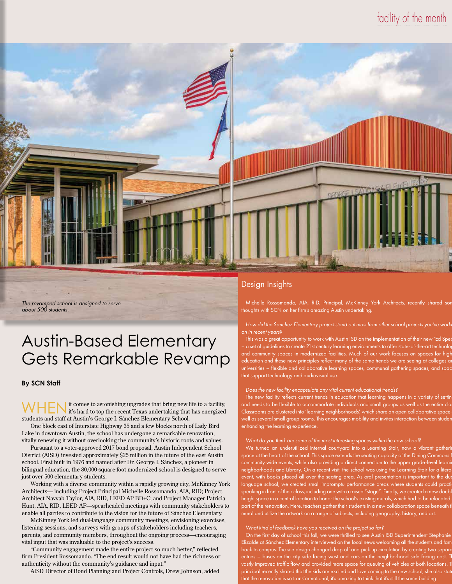## facility of the month



*The revamped school is designed to serve about 500 students.* 

# Austin-Based Elementary Gets Remarkable Revamp

#### **By SCN Staff**

WHEN it comes to astonishing upgrades that bring new life to a facility, it's hard to top the recent Texas undertaking that has energized students and staff at Austin's George I. Sánchez Elementary School.

One block east of Interstate Highway 35 and a few blocks north of Lady Bird Lake in downtown Austin, the school has undergone a remarkable renovation, vitally renewing it without overlooking the community's historic roots and values.

Pursuant to a voter-approved 2017 bond proposal, Austin Independent School District (AISD) invested approximately \$25 million in the future of the east Austin school. First built in 1976 and named after Dr. George I. Sánchez, a pioneer in bilingual education, the 80,000-square-foot modernized school is designed to serve just over 500 elementary students.

Working with a diverse community within a rapidly growing city, McKinney York Architects— including Project Principal Michelle Rossomando, AIA, RID; Project Architect Navvab Taylor, AIA, RID, LEED AP BD+C; and Project Manager Patricia Hunt, AIA, RID, LEED AP—spearheaded meetings with community stakeholders to enable all parties to contribute to the vision for the future of Sánchez Elementary.

McKinney York led dual-language community meetings, envisioning exercises, listening sessions, and surveys with groups of stakeholders including teachers, parents, and community members, throughout the ongoing process—encouraging vital input that was invaluable to the project's success.

"Community engagement made the entire project so much better," reflected firm President Rossomando. "The end result would not have had the richness or authenticity without the community's guidance and input."

AISD Director of Bond Planning and Project Controls, Drew Johnson, added

### Design Insights

Michelle Rossomando, AIA, RID, Principal, McKinney York Architects, recently shared sc thoughts with SCN on her firm's amazing Austin undertaking.

How did the Sanchez Elementary project stand out most from other school projects you've *on in recent years?*

This was a great opportunity to work with Austin ISD on the implementation of their new 'Ed Sp a set of guidelines to create 21 st century learning environments to offer state-of-the-art techno community spaces in modernized facilities. Much of our work focuses on spaces for higher education and these new principles reflect many of the same trends we are seeing at colleges  $\overline{\phantom{a}}$ universities – flexible and collaborative learning spaces, communal gathering spaces, an that support technology and audiovisual use.

#### *Does the new facility encapsulate any vital current educational trends?*

The new facility reflects current trends in education that learning happens in a variety of se and needs to be flexible to accommodate individuals and small groups as well as the  $\epsilon$ Classrooms are clustered into 'learning neighborhoods', which share an open collaborative space well as several small group rooms. This encourages mobility and invites interaction betw enhancing the learning experience.

#### *What do you think are some of the most interesting spaces within the new school?*

We turned an underutilized internal courtyard into a Learning Stair, now a vibrant gather space at the heart of the school. This space extends the seating capacity of the Dining Comm unity wide events, while also providing a direct connection to the upper grade-level learr porhoods and Library. On a recent visit, the school was using the Learning Stair for a liter rent, with books placed all over the seating area. As oral presentation is import language school, we created small impromptu performance areas where students could prac speaking in front of their class, including one with a raised "stage". Finally, we created a new doul height space in a central location to honor the school's existing murals, which had to be part of the renovation. Here, teachers gather their students in a new collaboration space beneath mural and utilize the artwork on a range of subjects, including geography, history, and art.

#### *What kind of feedback have you received on the project so far?*

On the first day of school this fall, we were thrilled to see Austin ISD Superintendent Stephan Elizalde at Sánchez Elementary interviewed on the local news welcoming all the students and fa back to campus. The site design changed drop off and pick up circulation by creatin entries – buses on the city side facing west and cars on the neighborhood side facing east. Th vastly improved traffic flow and provided more space for queuing of vehicles at both locations. The principal recently shared that the kids are excited and love coming to the new school; she also st that the renovation is so transformational, it's amazing to think that it's still the sa